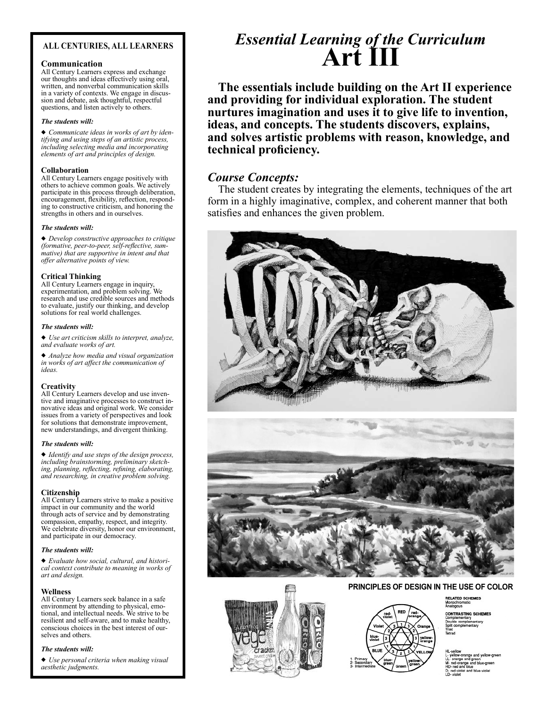### ALL CENTURIES, ALL LEARNERS

#### Communication

All Century Learners express and exchange our thoughts and ideas effectively using oral, written, and nonverbal communication skills in a variety of contexts. We engage in discussion and debate, ask thoughtful, respectful questions, and listen actively to others.

#### The students will:

Communicate ideas in works of art by identifying and using steps of an artistic process, including selecting media and incorporating elements of art and principles of design.

#### Collaboration

All Century Learners engage positively with others to achieve common goals. We actively participate in this process through deliberation, encouragement, flexibility, reflection, responding to constructive criticism, and honoring the strengths in others and in ourselves.

#### The students will:

Develop constructive approaches to critique (formative, peer-to-peer, self-reflective, summative) that are supportive in intent and that offer alternative points of view.

#### Critical Thinking

All Century Learners engage in inquiry, experimentation, and problem solving. We research and use credible sources and methods to evaluate, justify our thinking, and develop solutions for real world challenges.

#### The students will:

Use art criticism skills to interpret, analyze, and evaluate works of art.

Analyze how media and visual organization in works of art affect the communication of ideas.

#### **Creativity**

All Century Learners develop and use inventive and imaginative processes to construct innovative ideas and original work. We consider issues from a variety of perspectives and look for solutions that demonstrate improvement, new understandings, and divergent thinking.

#### The students will:

Identify and use steps of the design process, including brainstorming, preliminary sketching, planning, reflecting, refining, elaborating, and researching, in creative problem solving.

#### Citizenship

All Century Learners strive to make a positive impact in our community and the world through acts of service and by demonstrating compassion, empathy, respect, and integrity. We celebrate diversity, honor our environment, and participate in our democracy.

#### The students will:

Evaluate how social, cultural, and historical context contribute to meaning in works of art and design.

#### Wellness

All Century Learners seek balance in a safe environment by attending to physical, emotional, and intellectual needs. We strive to be resilient and self-aware, and to make healthy, conscious choices in the best interest of ourselves and others.

#### The students will:

Use personal criteria when making visual aesthetic judgments.

# Essential Learning of the Curriculum Art III

The essentials include building on the Art II experience and providing for individual exploration. The student nurtures imagination and uses it to give life to invention, ideas, and concepts. The students discovers, explains, and solves artistic problems with reason, knowledge, and technical proficiency.

### Course Concepts:

The student creates by integrating the elements, techniques of the art form in a highly imaginative, complex, and coherent manner that both satisfies and enhances the given problem.







#### PRINCIPLES OF DESIGN IN THE USE OF COLOR

**RELATED SCHEMES**